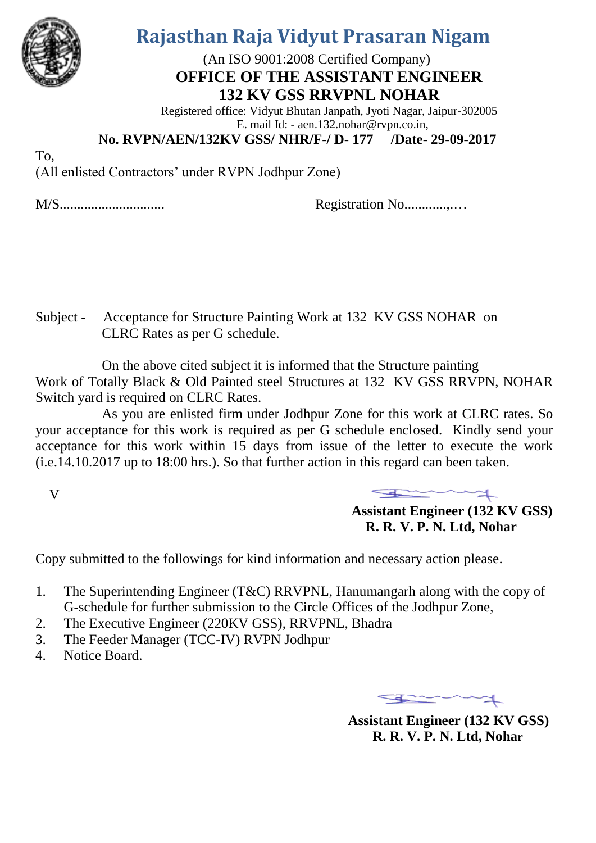

## **Rajasthan Raja Vidyut Prasaran Nigam**

 (An ISO 9001:2008 Certified Company) **OFFICE OF THE ASSISTANT ENGINEER 132 KV GSS RRVPNL NOHAR**

Registered office: Vidyut Bhutan Janpath, Jyoti Nagar, Jaipur-302005 E. mail Id: - aen.132.nohar@rvpn.co.in,

N**o. RVPN/AEN/132KV GSS/ NHR/F-/ D- 177 /Date- 29-09-2017** 

To,

(All enlisted Contractors' under RVPN Jodhpur Zone)

M/S.............................. Registration No............,.…

Subject - Acceptance for Structure Painting Work at 132 KV GSS NOHAR on CLRC Rates as per G schedule.

 On the above cited subject it is informed that the Structure painting Work of Totally Black & Old Painted steel Structures at 132 KV GSS RRVPN, NOHAR Switch yard is required on CLRC Rates.

 As you are enlisted firm under Jodhpur Zone for this work at CLRC rates. So your acceptance for this work is required as per G schedule enclosed. Kindly send your acceptance for this work within 15 days from issue of the letter to execute the work (i.e.14.10.2017 up to 18:00 hrs.). So that further action in this regard can been taken.

V

 **Assistant Engineer (132 KV GSS) R. R. V. P. N. Ltd, Nohar**

Copy submitted to the followings for kind information and necessary action please.

- 1. The Superintending Engineer (T&C) RRVPNL, Hanumangarh along with the copy of G-schedule for further submission to the Circle Offices of the Jodhpur Zone,
- 2. The Executive Engineer (220KV GSS), RRVPNL, Bhadra
- 3. The Feeder Manager (TCC-IV) RVPN Jodhpur
- 4. Notice Board.

 **Assistant Engineer (132 KV GSS) R. R. V. P. N. Ltd, Nohar**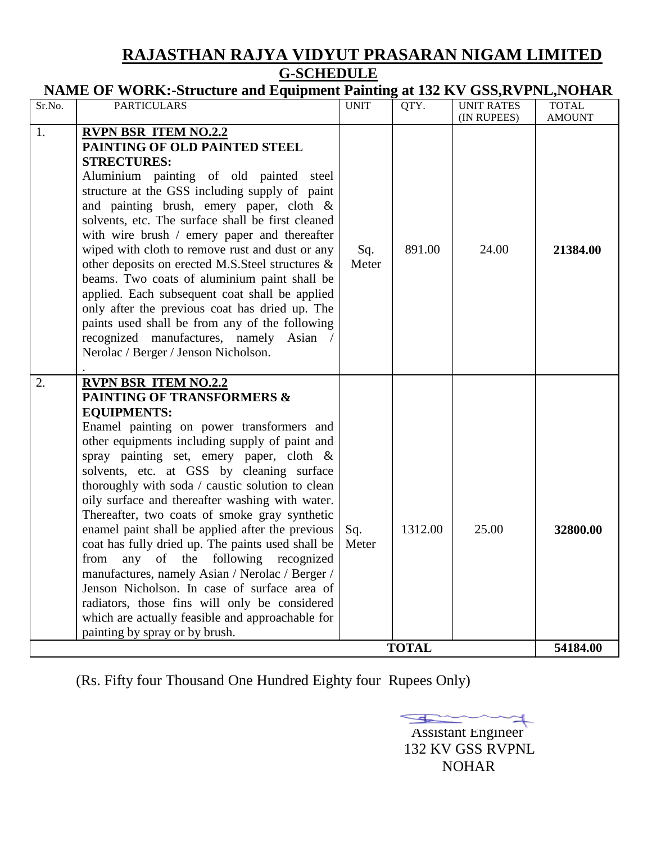### **RAJASTHAN RAJYA VIDYUT PRASARAN NIGAM LIMITED G-SCHEDULE**

| NAME OF WORK:-Structure and Equipment Painting at 132 KV GSS, RVPNL, NOHAR |  |  |  |
|----------------------------------------------------------------------------|--|--|--|
|----------------------------------------------------------------------------|--|--|--|

| Sr.No. | <b>PARTICULARS</b>                                                                                                                                                                                                                                                                                                                                                                                                                                                                                                                                                                                                                                                                                                                                                                                                                          | <b>UNIT</b>  | QTY.                    | <b>UNIT RATES</b><br>(IN RUPEES) | <b>TOTAL</b><br><b>AMOUNT</b> |
|--------|---------------------------------------------------------------------------------------------------------------------------------------------------------------------------------------------------------------------------------------------------------------------------------------------------------------------------------------------------------------------------------------------------------------------------------------------------------------------------------------------------------------------------------------------------------------------------------------------------------------------------------------------------------------------------------------------------------------------------------------------------------------------------------------------------------------------------------------------|--------------|-------------------------|----------------------------------|-------------------------------|
| 1.     | <b>RVPN BSR ITEM NO.2.2</b><br>PAINTING OF OLD PAINTED STEEL<br><b>STRECTURES:</b><br>Aluminium painting of old painted steel<br>structure at the GSS including supply of paint<br>and painting brush, emery paper, cloth &<br>solvents, etc. The surface shall be first cleaned<br>with wire brush $/$ emery paper and thereafter<br>wiped with cloth to remove rust and dust or any<br>other deposits on erected M.S. Steel structures &<br>beams. Two coats of aluminium paint shall be<br>applied. Each subsequent coat shall be applied<br>only after the previous coat has dried up. The<br>paints used shall be from any of the following<br>recognized manufactures, namely Asian /<br>Nerolac / Berger / Jenson Nicholson.                                                                                                         | Sq.<br>Meter | 891.00                  | 24.00                            | 21384.00                      |
| 2.     | <b>RVPN BSR ITEM NO.2.2</b><br><b>PAINTING OF TRANSFORMERS &amp;</b><br><b>EQUIPMENTS:</b><br>Enamel painting on power transformers and<br>other equipments including supply of paint and<br>spray painting set, emery paper, cloth &<br>solvents, etc. at GSS by cleaning surface<br>thoroughly with soda / caustic solution to clean<br>oily surface and thereafter washing with water.<br>Thereafter, two coats of smoke gray synthetic<br>enamel paint shall be applied after the previous<br>coat has fully dried up. The paints used shall be<br>of the following recognized<br>any<br>from<br>manufactures, namely Asian / Nerolac / Berger /<br>Jenson Nicholson. In case of surface area of<br>radiators, those fins will only be considered<br>which are actually feasible and approachable for<br>painting by spray or by brush. | Sq.<br>Meter | 1312.00<br><b>TOTAL</b> | 25.00                            | 32800.00<br>54184.00          |

(Rs. Fifty four Thousand One Hundred Eighty four Rupees Only)

 Assistant Engineer  $\Rightarrow$  132 KV GSS RVPNL NOHAR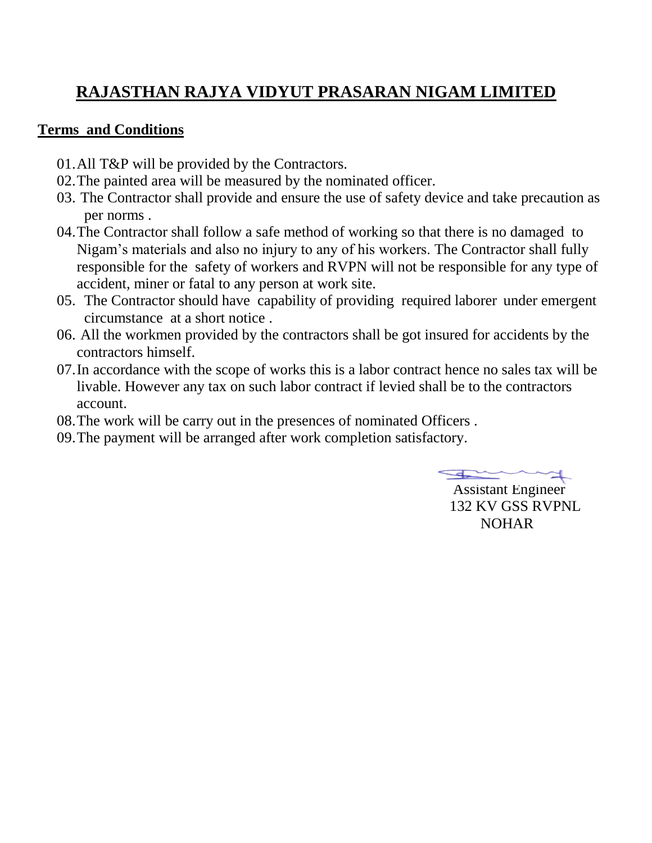## **RAJASTHAN RAJYA VIDYUT PRASARAN NIGAM LIMITED**

#### **Terms and Conditions**

- 01.All T&P will be provided by the Contractors.
- 02.The painted area will be measured by the nominated officer.
- 03. The Contractor shall provide and ensure the use of safety device and take precaution as per norms .
- 04.The Contractor shall follow a safe method of working so that there is no damaged to Nigam's materials and also no injury to any of his workers. The Contractor shall fully responsible for the safety of workers and RVPN will not be responsible for any type of accident, miner or fatal to any person at work site.
- 05. The Contractor should have capability of providing required laborer under emergent circumstance at a short notice .
- 06. All the workmen provided by the contractors shall be got insured for accidents by the contractors himself.
- 07.In accordance with the scope of works this is a labor contract hence no sales tax will be livable. However any tax on such labor contract if levied shall be to the contractors account.
- 08.The work will be carry out in the presences of nominated Officers .
- 09.The payment will be arranged after work completion satisfactory.

 $\rightarrow$ 

 Assistant Engineer 132 KV GSS RVPNL NOHAR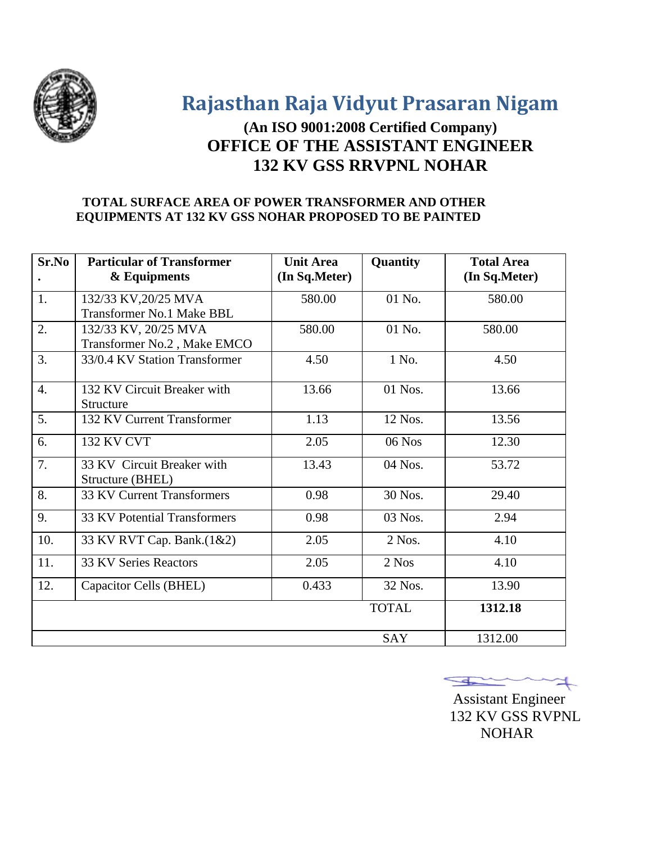

**Rajasthan Raja Vidyut Prasaran Nigam**

## **(An ISO 9001:2008 Certified Company) OFFICE OF THE ASSISTANT ENGINEER 132 KV GSS RRVPNL NOHAR**

#### **TOTAL SURFACE AREA OF POWER TRANSFORMER AND OTHER EQUIPMENTS AT 132 KV GSS NOHAR PROPOSED TO BE PAINTED**

| Sr.No | <b>Particular of Transformer</b><br>& Equipments | <b>Unit Area</b><br>(In Sq.Meter) | Quantity     | <b>Total Area</b><br>(In Sq.Meter) |
|-------|--------------------------------------------------|-----------------------------------|--------------|------------------------------------|
| 1.    | 132/33 KV, 20/25 MVA                             | 580.00                            | 01 No.       | 580.00                             |
|       | <b>Transformer No.1 Make BBL</b>                 |                                   |              |                                    |
| 2.    | 132/33 KV, 20/25 MVA                             | 580.00                            | 01 No.       | 580.00                             |
|       | Transformer No.2, Make EMCO                      |                                   |              |                                    |
| 3.    | 33/0.4 KV Station Transformer                    | 4.50                              | 1 No.        | 4.50                               |
| 4.    | 132 KV Circuit Breaker with<br>Structure         | 13.66                             | $01$ Nos.    | 13.66                              |
| 5.    | 132 KV Current Transformer                       | 1.13                              | 12 Nos.      | 13.56                              |
| 6.    | <b>132 KV CVT</b>                                | 2.05                              | 06 Nos       | 12.30                              |
| 7.    | 33 KV Circuit Breaker with<br>Structure (BHEL)   | 13.43                             | 04 Nos.      | 53.72                              |
| 8.    | 33 KV Current Transformers                       | 0.98                              | 30 Nos.      | 29.40                              |
| 9.    | <b>33 KV Potential Transformers</b>              | 0.98                              | 03 Nos.      | 2.94                               |
| 10.   | 33 KV RVT Cap. Bank.(1&2)                        | 2.05                              | $2$ Nos.     | 4.10                               |
| 11.   | 33 KV Series Reactors                            | 2.05                              | 2 Nos        | 4.10                               |
| 12.   | Capacitor Cells (BHEL)                           | 0.433                             | 32 Nos.      | 13.90                              |
|       |                                                  |                                   | <b>TOTAL</b> | 1312.18                            |
|       |                                                  |                                   | SAY          | 1312.00                            |

 $\pm$ 

 Assistant Engineer 132 KV GSS RVPNL NOHAR